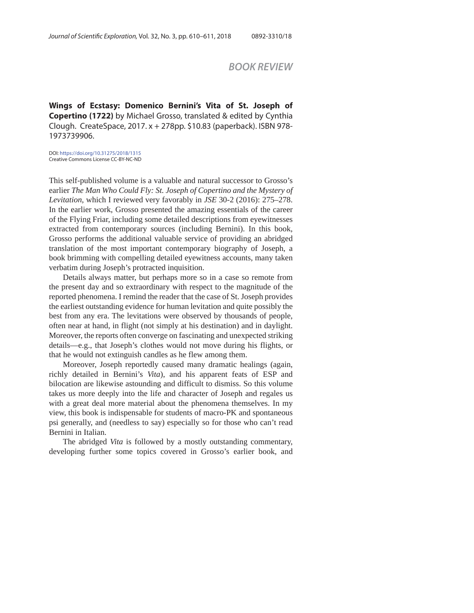## *BOOK REVIEW*

**Wings of Ecstasy: Domenico Bernini's Vita of St. Joseph of Copertino (1722)** by Michael Grosso, translated & edited by Cynthia Clough. CreateSpace, 2017. x + 278pp. \$10.83 (paperback). ISBN 978- 1973739906.

DOI: https://doi.org/10.31275/2018/1315 Creative Commons License CC-BY-NC-ND

This self-published volume is a valuable and natural successor to Grosso's earlier *The Man Who Could Fly: St. Joseph of Copertino and the Mystery of Levitation*, which I reviewed very favorably in *JSE* 30-2 (2016): 275–278. In the earlier work, Grosso presented the amazing essentials of the career of the Flying Friar, including some detailed descriptions from eyewitnesses extracted from contemporary sources (including Bernini). In this book, Grosso performs the additional valuable service of providing an abridged translation of the most important contemporary biography of Joseph, a book brimming with compelling detailed eyewitness accounts, many taken verbatim during Joseph's protracted inquisition.

Details always matter, but perhaps more so in a case so remote from the present day and so extraordinary with respect to the magnitude of the reported phenomena. I remind the reader that the case of St. Joseph provides the earliest outstanding evidence for human levitation and quite possibly the best from any era. The levitations were observed by thousands of people, often near at hand, in flight (not simply at his destination) and in daylight. Moreover, the reports often converge on fascinating and unexpected striking details—e.g., that Joseph's clothes would not move during his flights, or that he would not extinguish candles as he flew among them.

Moreover, Joseph reportedly caused many dramatic healings (again, richly detailed in Bernini's *Vita*), and his apparent feats of ESP and bilocation are likewise astounding and difficult to dismiss. So this volume takes us more deeply into the life and character of Joseph and regales us with a great deal more material about the phenomena themselves. In my view, this book is indispensable for students of macro-PK and spontaneous psi generally, and (needless to say) especially so for those who can't read Bernini in Italian.

The abridged *Vita* is followed by a mostly outstanding commentary, developing further some topics covered in Grosso's earlier book, and